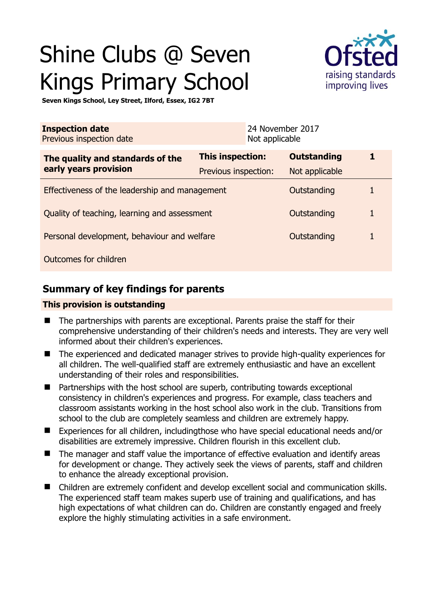# Shine Clubs @ Seven Kings Primary School



**Seven Kings School, Ley Street, Ilford, Essex, IG2 7BT** 

| <b>Inspection date</b><br>Previous inspection date        |                      | 24 November 2017<br>Not applicable |                    |   |
|-----------------------------------------------------------|----------------------|------------------------------------|--------------------|---|
| The quality and standards of the<br>early years provision | This inspection:     |                                    | <b>Outstanding</b> | 1 |
|                                                           | Previous inspection: |                                    | Not applicable     |   |
| Effectiveness of the leadership and management            |                      |                                    | Outstanding        | 1 |
| Quality of teaching, learning and assessment              |                      |                                    | Outstanding        | 1 |
| Personal development, behaviour and welfare               |                      |                                    | Outstanding        | 1 |
| Outcomes for children                                     |                      |                                    |                    |   |

## **Summary of key findings for parents**

## **This provision is outstanding**

- The partnerships with parents are exceptional. Parents praise the staff for their comprehensive understanding of their children's needs and interests. They are very well informed about their children's experiences.
- The experienced and dedicated manager strives to provide high-quality experiences for all children. The well-qualified staff are extremely enthusiastic and have an excellent understanding of their roles and responsibilities.
- Partnerships with the host school are superb, contributing towards exceptional consistency in children's experiences and progress. For example, class teachers and classroom assistants working in the host school also work in the club. Transitions from school to the club are completely seamless and children are extremely happy.
- Experiences for all children, includingthose who have special educational needs and/or disabilities are extremely impressive. Children flourish in this excellent club.
- The manager and staff value the importance of effective evaluation and identify areas for development or change. They actively seek the views of parents, staff and children to enhance the already exceptional provision.
- Children are extremely confident and develop excellent social and communication skills. The experienced staff team makes superb use of training and qualifications, and has high expectations of what children can do. Children are constantly engaged and freely explore the highly stimulating activities in a safe environment.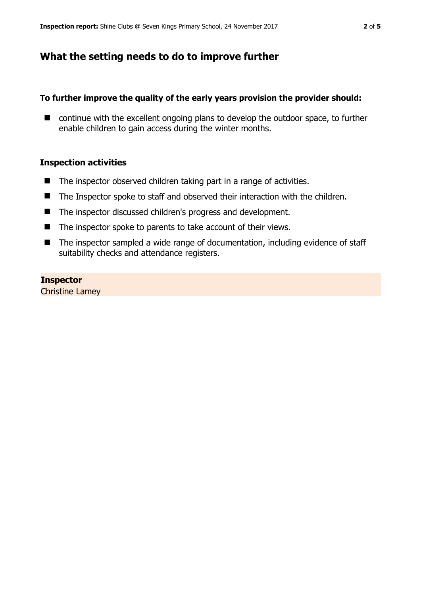## **What the setting needs to do to improve further**

## **To further improve the quality of the early years provision the provider should:**

 $\blacksquare$  continue with the excellent ongoing plans to develop the outdoor space, to further enable children to gain access during the winter months.

## **Inspection activities**

- The inspector observed children taking part in a range of activities.
- The Inspector spoke to staff and observed their interaction with the children.
- The inspector discussed children's progress and development.
- The inspector spoke to parents to take account of their views.
- The inspector sampled a wide range of documentation, including evidence of staff suitability checks and attendance registers.

### **Inspector**

Christine Lamey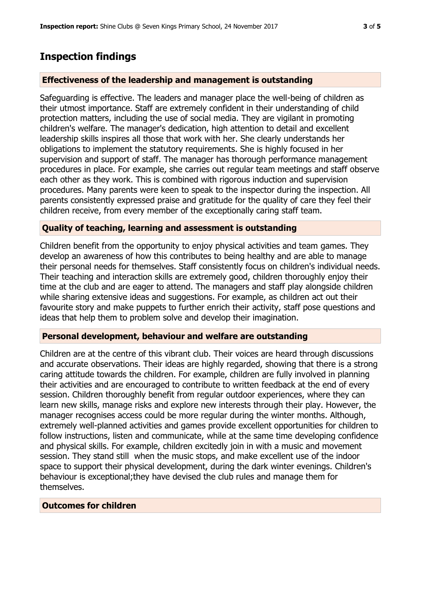## **Inspection findings**

#### **Effectiveness of the leadership and management is outstanding**

Safeguarding is effective. The leaders and manager place the well-being of children as their utmost importance. Staff are extremely confident in their understanding of child protection matters, including the use of social media. They are vigilant in promoting children's welfare. The manager's dedication, high attention to detail and excellent leadership skills inspires all those that work with her. She clearly understands her obligations to implement the statutory requirements. She is highly focused in her supervision and support of staff. The manager has thorough performance management procedures in place. For example, she carries out regular team meetings and staff observe each other as they work. This is combined with rigorous induction and supervision procedures. Many parents were keen to speak to the inspector during the inspection. All parents consistently expressed praise and gratitude for the quality of care they feel their children receive, from every member of the exceptionally caring staff team.

### **Quality of teaching, learning and assessment is outstanding**

Children benefit from the opportunity to enjoy physical activities and team games. They develop an awareness of how this contributes to being healthy and are able to manage their personal needs for themselves. Staff consistently focus on children's individual needs. Their teaching and interaction skills are extremely good, children thoroughly enjoy their time at the club and are eager to attend. The managers and staff play alongside children while sharing extensive ideas and suggestions. For example, as children act out their favourite story and make puppets to further enrich their activity, staff pose questions and ideas that help them to problem solve and develop their imagination.

## **Personal development, behaviour and welfare are outstanding**

Children are at the centre of this vibrant club. Their voices are heard through discussions and accurate observations. Their ideas are highly regarded, showing that there is a strong caring attitude towards the children. For example, children are fully involved in planning their activities and are encouraged to contribute to written feedback at the end of every session. Children thoroughly benefit from regular outdoor experiences, where they can learn new skills, manage risks and explore new interests through their play. However, the manager recognises access could be more regular during the winter months. Although, extremely well-planned activities and games provide excellent opportunities for children to follow instructions, listen and communicate, while at the same time developing confidence and physical skills. For example, children excitedly join in with a music and movement session. They stand still when the music stops, and make excellent use of the indoor space to support their physical development, during the dark winter evenings. Children's behaviour is exceptional;they have devised the club rules and manage them for themselves.

### **Outcomes for children**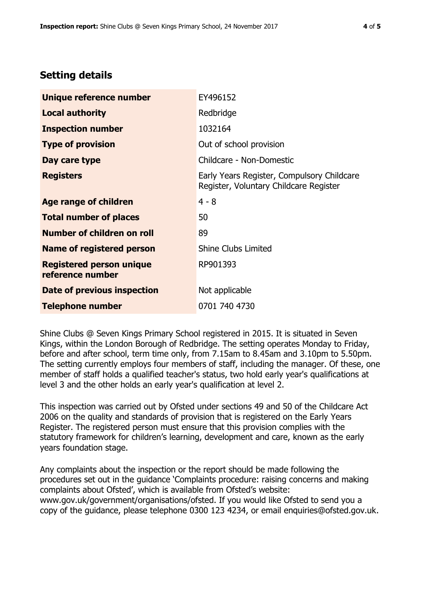# **Setting details**

| Unique reference number                             | EY496152                                                                             |  |
|-----------------------------------------------------|--------------------------------------------------------------------------------------|--|
| <b>Local authority</b>                              | Redbridge                                                                            |  |
| <b>Inspection number</b>                            | 1032164                                                                              |  |
| <b>Type of provision</b>                            | Out of school provision                                                              |  |
| Day care type                                       | Childcare - Non-Domestic                                                             |  |
| <b>Registers</b>                                    | Early Years Register, Compulsory Childcare<br>Register, Voluntary Childcare Register |  |
| Age range of children                               | $4 - 8$                                                                              |  |
| <b>Total number of places</b>                       | 50                                                                                   |  |
| Number of children on roll                          | 89                                                                                   |  |
| Name of registered person                           | <b>Shine Clubs Limited</b>                                                           |  |
| <b>Registered person unique</b><br>reference number | RP901393                                                                             |  |
| Date of previous inspection                         | Not applicable                                                                       |  |
| <b>Telephone number</b>                             | 0701 740 4730                                                                        |  |

Shine Clubs @ Seven Kings Primary School registered in 2015. It is situated in Seven Kings, within the London Borough of Redbridge. The setting operates Monday to Friday, before and after school, term time only, from 7.15am to 8.45am and 3.10pm to 5.50pm. The setting currently employs four members of staff, including the manager. Of these, one member of staff holds a qualified teacher's status, two hold early year's qualifications at level 3 and the other holds an early year's qualification at level 2.

This inspection was carried out by Ofsted under sections 49 and 50 of the Childcare Act 2006 on the quality and standards of provision that is registered on the Early Years Register. The registered person must ensure that this provision complies with the statutory framework for children's learning, development and care, known as the early years foundation stage.

Any complaints about the inspection or the report should be made following the procedures set out in the guidance 'Complaints procedure: raising concerns and making complaints about Ofsted', which is available from Ofsted's website: www.gov.uk/government/organisations/ofsted. If you would like Ofsted to send you a copy of the guidance, please telephone 0300 123 4234, or email enquiries@ofsted.gov.uk.